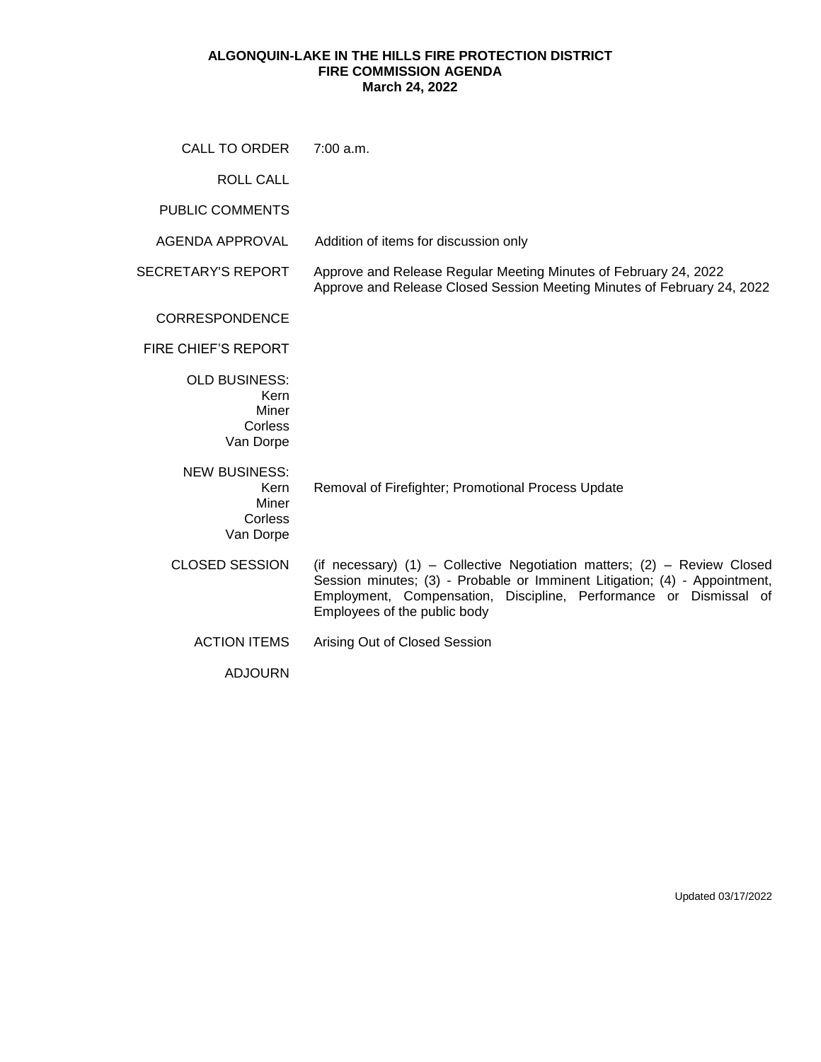## **ALGONQUIN-LAKE IN THE HILLS FIRE PROTECTION DISTRICT FIRE COMMISSION AGENDA March 24, 2022**

| CALL TO ORDER                                                 | 7:00 a.m.                                                                                                                                                                                                                                                   |
|---------------------------------------------------------------|-------------------------------------------------------------------------------------------------------------------------------------------------------------------------------------------------------------------------------------------------------------|
| <b>ROLL CALL</b>                                              |                                                                                                                                                                                                                                                             |
| <b>PUBLIC COMMENTS</b>                                        |                                                                                                                                                                                                                                                             |
| AGENDA APPROVAL                                               | Addition of items for discussion only                                                                                                                                                                                                                       |
| <b>SECRETARY'S REPORT</b>                                     | Approve and Release Regular Meeting Minutes of February 24, 2022<br>Approve and Release Closed Session Meeting Minutes of February 24, 2022                                                                                                                 |
| <b>CORRESPONDENCE</b>                                         |                                                                                                                                                                                                                                                             |
| <b>FIRE CHIEF'S REPORT</b>                                    |                                                                                                                                                                                                                                                             |
| <b>OLD BUSINESS:</b><br>Kern<br>Miner<br>Corless<br>Van Dorpe |                                                                                                                                                                                                                                                             |
| <b>NEW BUSINESS:</b><br>Kern<br>Miner<br>Corless<br>Van Dorpe | Removal of Firefighter; Promotional Process Update                                                                                                                                                                                                          |
| <b>CLOSED SESSION</b>                                         | (if necessary) (1) – Collective Negotiation matters; (2) – Review Closed<br>Session minutes; (3) - Probable or Imminent Litigation; (4) - Appointment,<br>Employment, Compensation, Discipline, Performance or Dismissal of<br>Employees of the public body |
| <b>ACTION ITEMS</b>                                           | Arising Out of Closed Session                                                                                                                                                                                                                               |
| <b>ADJOURN</b>                                                |                                                                                                                                                                                                                                                             |

Updated 03/17/2022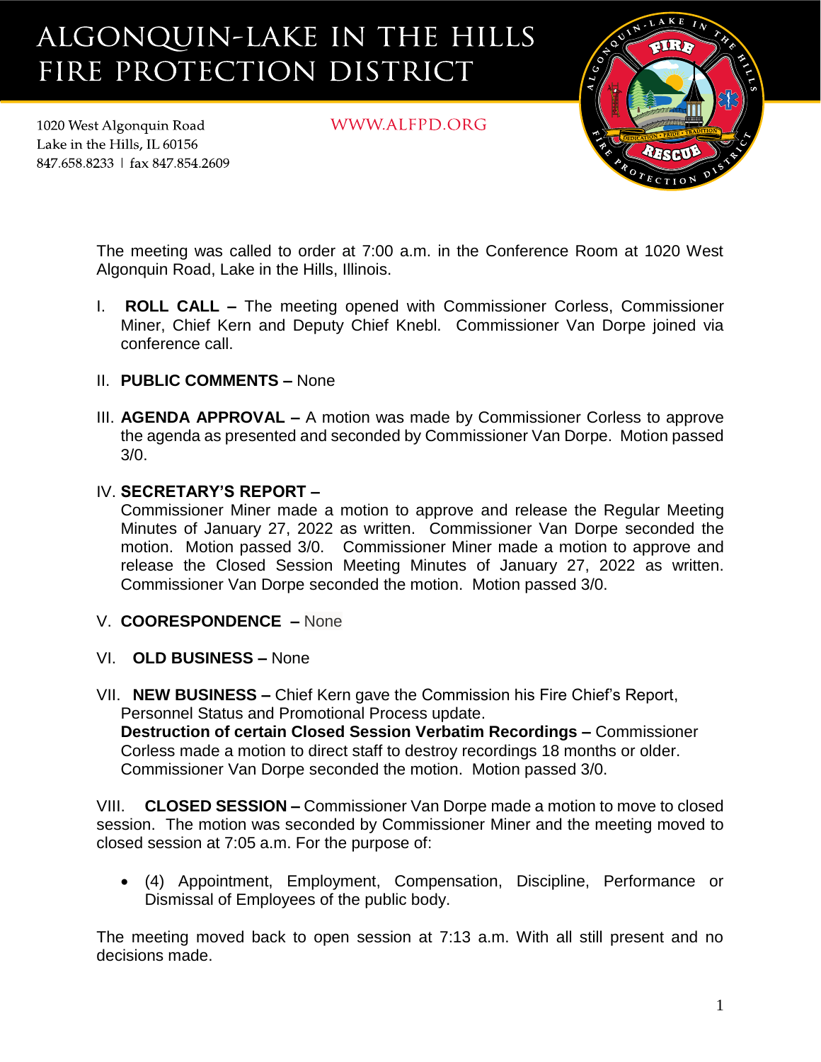## ALGONQUIN-LAKE IN THE HILLS FIRE PROTECTION DISTRICT

WWW.ALFPD.ORG



The meeting was called to order at 7:00 a.m. in the Conference Room at 1020 West Algonquin Road, Lake in the Hills, Illinois.

- I. **ROLL CALL –** The meeting opened with Commissioner Corless, Commissioner Miner, Chief Kern and Deputy Chief Knebl. Commissioner Van Dorpe joined via conference call.
- II. **PUBLIC COMMENTS –** None

1020 West Algonquin Road

Lake in the Hills. IL 60156 847.658.8233 | fax 847.854.2609

> III. **AGENDA APPROVAL –** A motion was made by Commissioner Corless to approve the agenda as presented and seconded by Commissioner Van Dorpe. Motion passed 3/0.

## IV. **SECRETARY'S REPORT –**

Commissioner Miner made a motion to approve and release the Regular Meeting Minutes of January 27, 2022 as written. Commissioner Van Dorpe seconded the motion. Motion passed 3/0. Commissioner Miner made a motion to approve and release the Closed Session Meeting Minutes of January 27, 2022 as written. Commissioner Van Dorpe seconded the motion. Motion passed 3/0.

- V. **COORESPONDENCE –** None
- VI. **OLD BUSINESS –** None
- VII. **NEW BUSINESS –** Chief Kern gave the Commission his Fire Chief's Report, Personnel Status and Promotional Process update. **Destruction of certain Closed Session Verbatim Recordings –** Commissioner Corless made a motion to direct staff to destroy recordings 18 months or older. Commissioner Van Dorpe seconded the motion. Motion passed 3/0.

VIII. **CLOSED SESSION –** Commissioner Van Dorpe made a motion to move to closed session. The motion was seconded by Commissioner Miner and the meeting moved to closed session at 7:05 a.m. For the purpose of:

• (4) Appointment, Employment, Compensation, Discipline, Performance or Dismissal of Employees of the public body.

The meeting moved back to open session at 7:13 a.m. With all still present and no decisions made.